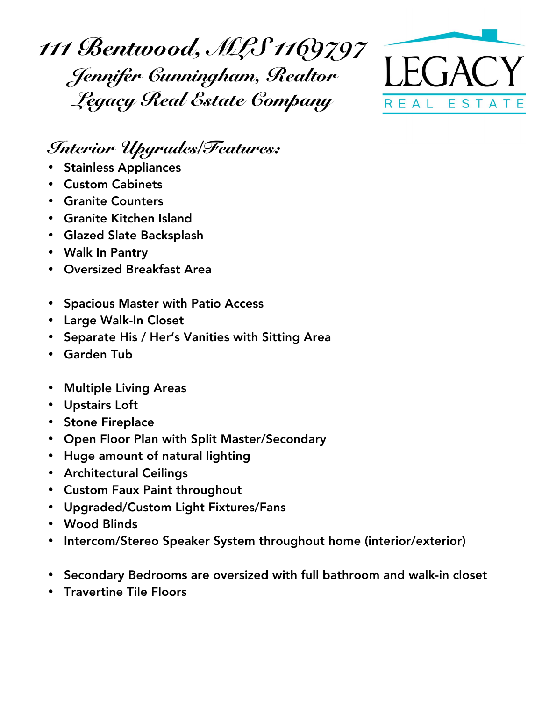*111 Bentwood, MLS 1169797 Jennifer Cunningham, Realtor Legacy Real Estate Company*



## *Interior Upgrades/Features:*

- Stainless Appliances
- Custom Cabinets
- Granite Counters
- Granite Kitchen Island
- Glazed Slate Backsplash
- Walk In Pantry
- Oversized Breakfast Area
- Spacious Master with Patio Access
- Large Walk-In Closet
- Separate His / Her's Vanities with Sitting Area
- Garden Tub
- Multiple Living Areas
- Upstairs Loft
- Stone Fireplace
- Open Floor Plan with Split Master/Secondary
- Huge amount of natural lighting
- Architectural Ceilings
- Custom Faux Paint throughout
- Upgraded/Custom Light Fixtures/Fans
- Wood Blinds
- Intercom/Stereo Speaker System throughout home (interior/exterior)
- Secondary Bedrooms are oversized with full bathroom and walk-in closet
- Travertine Tile Floors